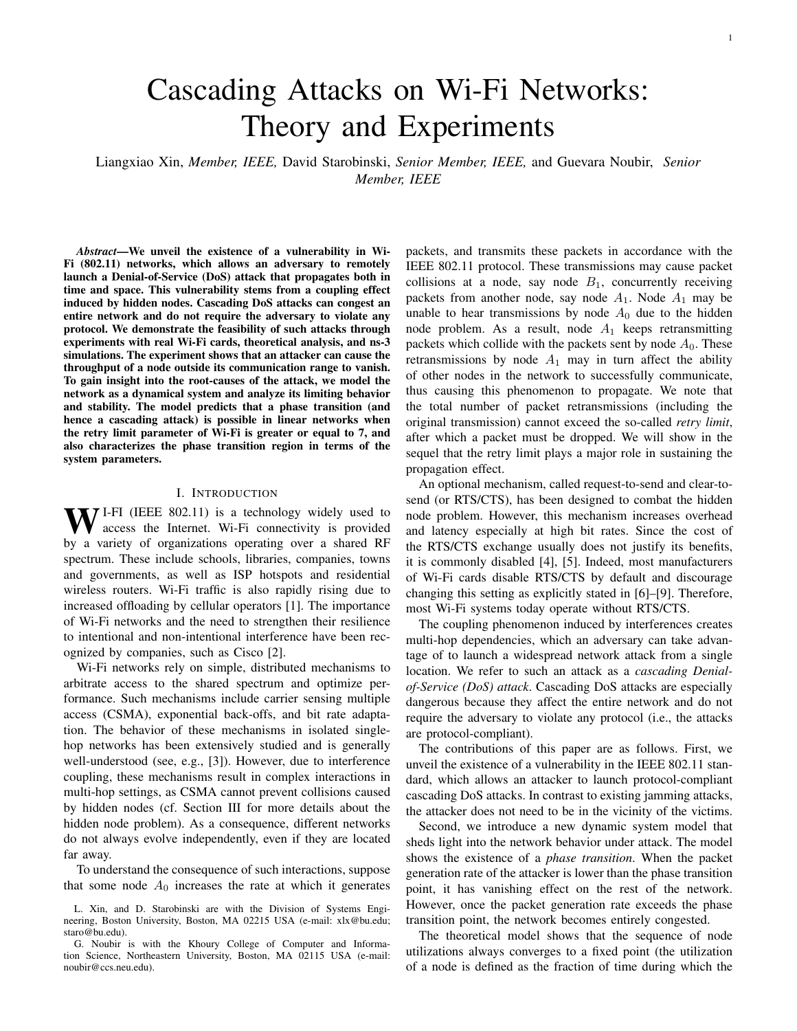# Cascading Attacks on Wi-Fi Networks: Theory and Experiments

Liangxiao Xin, *Member, IEEE,* David Starobinski, *Senior Member, IEEE,* and Guevara Noubir, *Senior Member, IEEE*

*Abstract*—We unveil the existence of a vulnerability in Wi-Fi (802.11) networks, which allows an adversary to remotely launch a Denial-of-Service (DoS) attack that propagates both in time and space. This vulnerability stems from a coupling effect induced by hidden nodes. Cascading DoS attacks can congest an entire network and do not require the adversary to violate any protocol. We demonstrate the feasibility of such attacks through experiments with real Wi-Fi cards, theoretical analysis, and ns-3 simulations. The experiment shows that an attacker can cause the throughput of a node outside its communication range to vanish. To gain insight into the root-causes of the attack, we model the network as a dynamical system and analyze its limiting behavior and stability. The model predicts that a phase transition (and hence a cascading attack) is possible in linear networks when the retry limit parameter of Wi-Fi is greater or equal to 7, and also characterizes the phase transition region in terms of the system parameters.

## I. INTRODUCTION

 $\bf{W}$ <sup>I-FI (IEEE 802.11)</sup> is a technology widely used to access the Internet. Wi-Fi connectivity is provided by a variety of organizations operating over a shared RF spectrum. These include schools, libraries, companies, towns and governments, as well as ISP hotspots and residential wireless routers. Wi-Fi traffic is also rapidly rising due to increased offloading by cellular operators [1]. The importance of Wi-Fi networks and the need to strengthen their resilience to intentional and non-intentional interference have been recognized by companies, such as Cisco [2].

Wi-Fi networks rely on simple, distributed mechanisms to arbitrate access to the shared spectrum and optimize performance. Such mechanisms include carrier sensing multiple access (CSMA), exponential back-offs, and bit rate adaptation. The behavior of these mechanisms in isolated singlehop networks has been extensively studied and is generally well-understood (see, e.g., [3]). However, due to interference coupling, these mechanisms result in complex interactions in multi-hop settings, as CSMA cannot prevent collisions caused by hidden nodes (cf. Section III for more details about the hidden node problem). As a consequence, different networks do not always evolve independently, even if they are located far away.

To understand the consequence of such interactions, suppose that some node  $A_0$  increases the rate at which it generates packets, and transmits these packets in accordance with the IEEE 802.11 protocol. These transmissions may cause packet collisions at a node, say node  $B_1$ , concurrently receiving packets from another node, say node  $A_1$ . Node  $A_1$  may be unable to hear transmissions by node  $A_0$  due to the hidden node problem. As a result, node  $A_1$  keeps retransmitting packets which collide with the packets sent by node  $A_0$ . These retransmissions by node  $A_1$  may in turn affect the ability of other nodes in the network to successfully communicate, thus causing this phenomenon to propagate. We note that the total number of packet retransmissions (including the original transmission) cannot exceed the so-called *retry limit*, after which a packet must be dropped. We will show in the sequel that the retry limit plays a major role in sustaining the propagation effect.

An optional mechanism, called request-to-send and clear-tosend (or RTS/CTS), has been designed to combat the hidden node problem. However, this mechanism increases overhead and latency especially at high bit rates. Since the cost of the RTS/CTS exchange usually does not justify its benefits, it is commonly disabled [4], [5]. Indeed, most manufacturers of Wi-Fi cards disable RTS/CTS by default and discourage changing this setting as explicitly stated in [6]–[9]. Therefore, most Wi-Fi systems today operate without RTS/CTS.

The coupling phenomenon induced by interferences creates multi-hop dependencies, which an adversary can take advantage of to launch a widespread network attack from a single location. We refer to such an attack as a *cascading Denialof-Service (DoS) attack*. Cascading DoS attacks are especially dangerous because they affect the entire network and do not require the adversary to violate any protocol (i.e., the attacks are protocol-compliant).

The contributions of this paper are as follows. First, we unveil the existence of a vulnerability in the IEEE 802.11 standard, which allows an attacker to launch protocol-compliant cascading DoS attacks. In contrast to existing jamming attacks, the attacker does not need to be in the vicinity of the victims.

Second, we introduce a new dynamic system model that sheds light into the network behavior under attack. The model shows the existence of a *phase transition*. When the packet generation rate of the attacker is lower than the phase transition point, it has vanishing effect on the rest of the network. However, once the packet generation rate exceeds the phase transition point, the network becomes entirely congested.

The theoretical model shows that the sequence of node utilizations always converges to a fixed point (the utilization of a node is defined as the fraction of time during which the

L. Xin, and D. Starobinski are with the Division of Systems Engineering, Boston University, Boston, MA 02215 USA (e-mail: xlx@bu.edu; staro@bu.edu).

G. Noubir is with the Khoury College of Computer and Information Science, Northeastern University, Boston, MA 02115 USA (e-mail: noubir@ccs.neu.edu).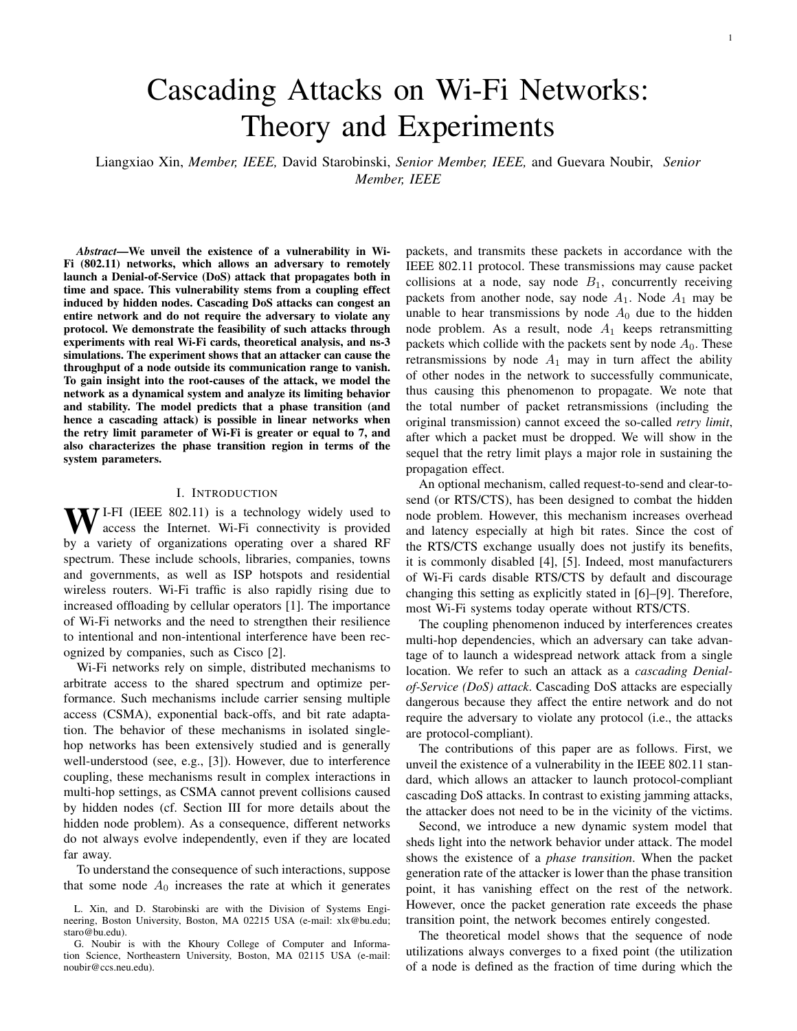node transmits). We characterize the different types of fixed points (stable and unstable) and show that a phase transition is associated with the existence of an unstable fixed point. The model explicitly predicts for which values of the retry limit a phase transition (and hence a cascading attack) can occur. In particular, we show that a phase transition can occur for the default value of the retry limit in Wi-Fi, which is 7.

Finally, we concretely demonstrate the attack through experiments on a testbed composed of nodes equipped with real Wi-Fi cards and provide simulation results obtained with the ns-3 simulator that corroborate the theoretical results in various network topologies.

The rest of the paper is organized as follows. In Section II, we discuss related work. In Section III, we provide brief background on Wi-Fi and hidden nodes, and introduce the network model and attack scenario. Section IV presents our theoretical analysis. We present experimental and simulation results that verify the findings in Section V. Section VI concludes the paper.

An earlier version of this paper appeared in the proceedings of the IEEE Conference on Communications and Network Security (CNS 2016) [10]. This journal version significantly expands the theoretical analysis, including detailed proofs and new results on stability analysis and heterogeneous traffic load, which can be found in Section IV. Moreover, new simulation results for networks based on a realistic indoor building model and ring networks are presented in Sections V.

## II. RELATED WORK

In general, the main goal of a DoS attack is to make communication impossible for legitimate users. Within the context of wireless networks, a simple and popular means to launch a DoS attack is to jam the network with high power transmissions of random bits, hence creating interferences and congestion. Jamming at the physical layer, together with *anti-jamming* countermeasures, have been extensively studied (cf. [11] for a monograph on this subject).

More recently, several works have developed and demonstrated *smart jamming* attacks. These attacks exploit protocol vulnerabilities across various layers in the stack to achieve high jamming gain and energy efficiency, and a low probability of detection [12]. For instance, [13] shows that the energy consumption of a smart jamming attack can be four orders of magnitude lower than continuous jamming. However, both conventional and smart jamming attacks are usually nonprotocol compliant. Moreover, they require physical proximity. These limitations can be used to identify and locate the jammer.

In contrast, in this work we show how a protocol-compliant DoS attack can be remotely launched by exploiting coupling due to hidden nodes in Wi-Fi. Rate adaptation algorithms further amplify this attack due to their inability to distinguish between collisions, interferences, and poor channels. One potential mitigation is to design a rate adaptation algorithm whose behaviour is based on the observed interference patterns [14], [15]. However, to the best of our knowledge, none of these rate adaptation algorithms are used in practice. Our work is based on Minstrel [16], which is the most recent, popular, and robust rate adaptation algorithm for Linux systems.

The attacks that we are investigating bear similarity to cascading failures in power transmission systems [17], [18]. When one of the nodes in the system fails, it shifts its load to adjacent nodes. These nodes in turn can be overloaded and shift their load further. This phenomenon has also been studied in wireless networks. For instance, [19], [20] model wireless networks as a random geometric graph topology generated by a Poisson point process. They use percolation theory to show that the redistribution of load induces a phase transition in the network connectivity. However, the cascading phenomenon that we investigate in this paper is different from cascading failure studied in those works. In our work, the exogenous generation of traffic at each node is independent. That is, a node will not shift its load to other nodes. The amount of traffic measured on the channel increases due to packet retransmissions caused by packet collisions, rather than due to traffic redistribution.

The work in [21] shows that interference coupling can affect the stability of multi-hop networks. In the case of a greedy source, a three-hop network is stable while a four-hop network becomes unstable. In contrast, in our work, the path of each packet consists of a single-hop. Thus, network instability is not due to multi-hop communication in our case.

The work in [22] shows that local coupling due to interferences can have global effects on wireless networks. Thus, it proposes a queuing-theoretic analysis and approximation to predict the probability of a packet collision in a multi-hop network with hidden nodes. It shows that the sequence of the packet collision probabilities in a linear network converges to a fixed point.

Our paper differs in several aspects. First, it considers an adversarial context, and shows how interference-induced coupling can be exploited to cause denial of service. Second, to our knowledge, it is the first work to demonstrate the existence of such coupling on real commodity hardware. Finally, our analytical model is original and captures the impact of the retry limit and traffic parameters. A key result is that a cascading attack can be launched for the default value of the retry limit in Wi-Fi, a result validated by the experiments and simulations.

#### III. BACKGROUND AND MODEL

## *A. IEEE 802.11 Back-off Mechanism*

The IEEE 802.11 standard uses the CSMA/CA mechanism to control access to the transmission medium and avoid collisions. After a packet is sent, a node waits for a short interframe slots (SIFS) period to receive an acknolwedgment (ACK). Whenever the channel becomes idle, the node waits for a distributed interframe space (DIFS > SIFS) period and a random backoff before contending for the channel. The random backoff consists of a random number of backoff slots, which depends on the so-called contention window. Specifically, at the  $r-1$  retransmission attempt (retry count), the contention window  $CW_r$  is given by

$$
CW_r = \begin{cases} 2^{r-1}(CW_1 + 1) & 1 & CW_r < CW_{\text{max}}, \\ CW_{\text{max}} & \text{otherwise.} \end{cases}
$$
 (1)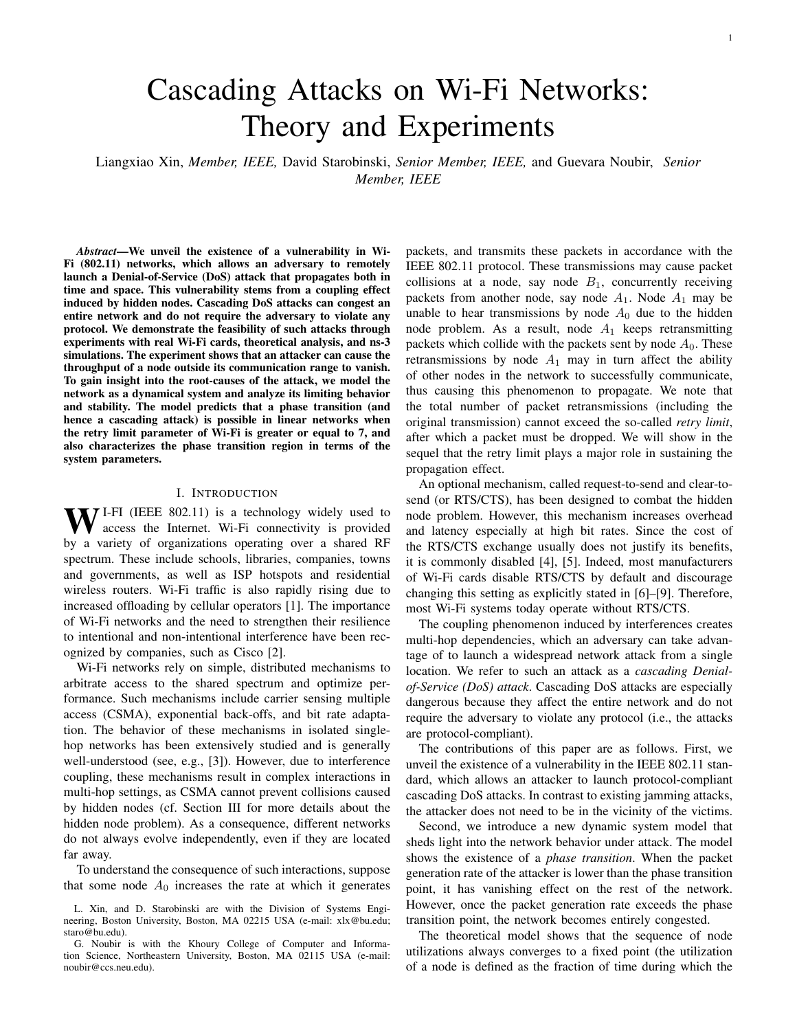

Fig. 1. Classical hidden node problem. The transmitter and the hidden node cannot sense each other. The collision happens when they transmit simultaneously.

The number of backoff slots is chosen uniformly at random in the interval  $[0, CW_r]$ . For IEEE 802.11b, the initial contention window size is  $CW_1 = 31$ , the maximum contention window size is  $CW_{max}$  = 1023, and the duration of a backoff slot is 20  $\mu$ s. Note that the case  $r = 1$  corresponds to the initial packet transmission attempt.

#### *B. The Hidden Node Problem*

A typical instance of the hidden node problem is illustrated in Figure 1. The figure shows three nodes: a transmitter, a receiver and a hidden node. The dashed circle represents the transmission range of the node. Since the transmitter and the hidden node cannot sense each other, a collision happens when both of them transmit packets at the same time.

A packet collision triggers a retransmission. In IEEE 802.11, there is an upper limit on the number of retransmissions that a packet can incur, called *retry limit* and denoted by R (the default value is  $R = 7$ ). If the retry count r of a packet exceeds the retry limit, the packet is dropped, the retry count is reset to  $r = 1$ , and a new packet transmission can start. The channel utilization of a node increases with the probability of a packet collision. In the worst case, the utilization can be  $R$  times larger than in the absence of packet collisions. Therefore, the access channel of a node can easily be saturated if it is forced to retransmit packets.

## *C. Network Model*

The network model considered in this paper is shown in Figure 2. This configuration could arise over different time and space in more complex network topologies. We consider  $N + 1$  pairs of nodes. Each node  $A_i$   $(i = 0, 1, 2, \ldots, N)$ transmits packets to node  $B_i$ . The dashed circle represents the range of transmission. Node  $B_{i+1}$  can receive packets from both node  $A_i$  and node  $A_{i+1}$ . However, node  $A_i$  and node  $A_{i+1}$  cannot hear each other. That is, node  $A_i$  is a hidden node with respect to node  $A_{i+1}$  (and vice-versa). A packet collision happens at node  $B_{i+1}$  when packet transmissions by node  $A_i$  and  $A_{i+1}$  overlap.

In general, the linear topology considered here represents a propagation path used by an attack. It is possible for an attack to be launched in a more general network as long as such a propagation path exists. We show a concrete example in our simulations in Section V-C.



Transmitter

Fig. 2. Topology of the network. Node  $A_i$  transmits packets to node  $B_i$ . Node  $A_i$  is a hidden node with respect to  $A_{i+1}$ .

We assume that all the nodes communicate over the same channel. Note that there are only three non-overlapping channels in the 2.4GHz band. Hence, it is common that several nodes use the same channel over time and space in crowded areas. For instance, in a dense Wi-Fi network, each cell has multiple neighboring cells. Since there are only three nonoverlapping channels, some neighboring cells will necessarily share the same channel (i.e., there could be other pairs of nodes using different channels which are not shown in Figure 2).

## *D. Attack Scenario*

Our goal is to investigate how node  $A_0$  can trigger a cascading DoS attack, resulting in a congestion collapse over the entire network. We start by increasing the packet generation rate at node  $A_0$ . Node  $A_0$  transmits packets over its channel, in compliance with the IEEE 802.11 standard. The transmissions by node  $A_0$  cause packet collisions at node  $B_1$ . These collisions require node  $A_1$  to retransmit packets. The increased amount of packet transmissions and retransmissions by node  $A_1$  impact node  $A_2$  and so forth. If this effect keeps propagating and amplifying, then the result is a networkwide denial of service, which we refer to as a cascading Denial of Service (DoS) attack. Because this attack is protocolcompliant, it is difficult to detect or trace back to the initiator.

## *E. Impact of exponential back-off*

When a hidden node retransmits its packets, it must back off after each retransmission, which leaves the channel idle for a certain period of time. The duration of the backoff period is generally too short to allow for a successful transmission. Indeed, a packet transmission is successful only if

- 1) The size of the contention window of the hidden node is longer than the packet transmission time.
- 2) The transmitter starts and ends its transmission entirely during the backoff period of the hidden node.

At 1 Mb/s, the transmission time of an 1500 bytes packet lasts 12 ms. This is longer than the contention window as long as  $CW_r < CW_{max} = 1023$ . Hence, by Eq. (1), a transmission cannot be successful during the backoff period preceding the  $r < 6$  retransmission attempt by a hidden node. Note that in the attack scenarios considered in this paper, each transmitter is a hidden node (i.e., it does not hear the transmissions of other nodes). Hence, the backoff counter keeps counting down and never freezes.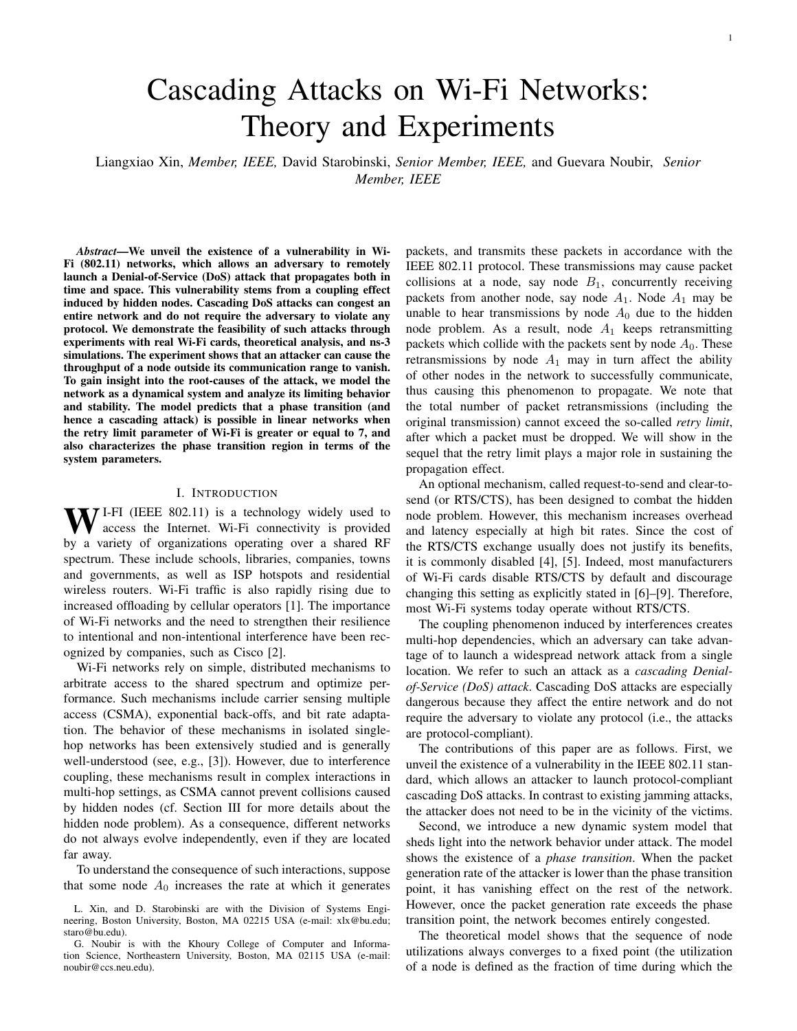At the  $r = 6$  retransmission attempt by a hidden node  $A_i$ ,  $CW_r = CW_{max} = 1023$ . Node  $A_i$  back-offs for *n* slots, where  $n$  is an integer between 0 and 1023 that is picked uniformly at random (i.e., with probability 1/1024). Since the length of a backoff slot is 20  $\mu$ s, the backoff delay is 0.02*n* ms. Without loss of generality, assume that node  $A_i$  starts backing off at time  $t = 0$  and ends its backoff at time  $t = 0.02n$ (all the time units are in milliseconds). Node  $A_i$  then starts a packet transmission, which ends at time  $t = 0.02n + 0.12$ .

Node  $A_{i+1}$  can transmit a packet successfully only if it starts its transmission during the time interval  $[0, 0.02n \ 12]$ . This requires  $n > 600$ . Assuming that the starting time of the packet transmission by node  $A_{i+1}$  is uniformly distributed in the time interval  $[0, 0.02n + 12]$ , the probability that a packet is successfully transmitted by node  $A_{i+1}$  is

$$
\sum_{n=600}^{1023} \frac{1}{1024} \frac{0.02n}{0.02n + 12} = 0.059.
$$

Thus, the likelihood of a successful packet transmission is low, a result validated by the experimental and simulation results of Section V.

## IV. ANALYSIS

In this section, we develop an analytical model that provides insight into the network behavior under attack. Specifically, our goals are to explain why and under what conditions an attacker can congest a remote node and cause its throughput to vanish, and to shed light into the roles played by the retry limit  $R$  and the traffic load at the different nodes.

## *A. Model*

We consider the linear topology shown in Figure 2. Packet generations at each node  $A_i$  form a Poisson process with rate  $\lambda_i$ . The packet size is fixed and the duration of each packet transmission attempt is  $T$  (we assume a fixed bit rate). A transmission by node  $A_{i+1}$  is successful only if does not overlap with any transmission by (hidden) node  $A_i$ .

If a packet collides, it is retransmitted until either it is successfully received or the retry count reaches the limit R. Let 1  $\bar{r}_i$  R represent the mean retry count at node  $A_i$ . Note that the initial packet transmission is included in that count. Then, the mean service time of a packet at node  $A_i$ is  $\overline{r}_i$ . To keep the analysis tractable, timing details of Wi-Fi, such as DIFS, SIFS, and back-off inter-frame spacing are ignored. Therefore the upper limit of the utilization equals 1 in our analysis.

We denote the utilization of node  $A_i$  by 0  $u_i$  1, where  $u_i$  represents the fraction of time node  $A_i$  transmits. If  $u_i = 1$ , node  $A_i$  is congested and transmits continuously. Otherwise, node  $A_i$  is uncongested and transmits packets at rate  $\overline{r}_i \lambda$ . Therefore, the utilization of node  $A_i$  for all i 0 is

$$
u_i = \min \widehat{r}_i \lambda_i T, 1g. \tag{2}
$$

Note that there is no retransmission at node  $A_0$  and  $\overline{r}_0 = 1$ .

Our model represents a special case of interacting queues, which are notoriously difficult to analyze [23]. To make the analysis tractable, we *assume* that:

- 1) Packet transmissions and retransmissions at each uncongested node  $A_i$  form a Poisson process with rate  $\overline{r}_i \lambda$ .
- 2) The probability that a packet transmitted by node  $A_i$  collides is independent of previous attempts. This probability is denoted  $p_i$ .

Our model is similar to the "random-look" model used by Kleinrock and Tobagi in their analysis of (single hop) random access networks [24] (see also Ch. 4 of [25]). We stress that beside these assumptions, the rest of our analysis is exact. Note that the experiments and simulations shown in Section IV do not incorporate the simplifications used to make the analysis tractable, yet they produce the same effects.

#### *B. Iterative analysis of the utilization*

Our goal is to find the utilization at each node  $i \quad 0$  and in the limit as  $i / 7$ . We consider the same scenario as in our simulations, whereby node  $A_0$  (the attacker) varies its traffic load

$$
\rho_0 \quad \lambda_0 T, \tag{3}
$$

while all other nodes  $A_i$  (i 1) have the same traffic load

$$
\rho \qquad \lambda_i T,\tag{4}
$$

where  $0 < \rho < 1$ . We aim to understand if and how changes in the value of  $\rho_0$  affect the utilization of nodes that are located far away as function of the parameters  $\rho$  and R.

First, we get the utilization at node  $A_0$ :

$$
u_0 = \min f \rho_0, 1g. \tag{5}
$$

We next develop an iterative procedure to derive  $u_{i+1}$  from  $u_i$ . From (2) and (4),

$$
u_{i+1} = \min \widehat{r}_{i+1}\rho, 1g. \tag{6}
$$

We first relate  $\overline{r}_{i+1}$  to  $p_{i+1}$ , the probability that a packet transmitted by node  $A_{i+1}$  collides. Based on Assumption 2, the probability that a packet is successfully received after 1 r R attempts is  $(1 \quad p_{i+1})(p_{i+1})^{r-1}$  while the probability that a packet fails to be received after R attempts is  $(p_{i+1})^R$ . Hence, the mean retry count at node  $A_{i+1}$  is

$$
\overline{r}_{i+1} = \sum_{r=1}^{R} r \quad (1 \quad p_{i+1}) \quad (p_{i+1})^{r-1} + R \quad (p_{i+1})^{R}
$$
\n
$$
= \sum_{r=1}^{R} (p_{i+1})^{r-1}.
$$
\n(7)

We next relate  $p_{i+1}$  to  $u_i$ . First, suppose  $u_i < 1$  (i.e., node  $A_i$  is uncongested). Assume that node  $A_{i+1}$  starts a packet transmission (or retransmission) at some arbitrary time  $t = t^{\theta}$ . We compute  $p_{i+1}$  by conditioning on whether or not node  $A_i$ is transmitting at time  $t^{\ell}$ . Note that due the Poisson Arrivals See Time Averages (PASTA) property, the transmission state of node  $A_i$  at time  $t = t^{\theta}$  is the same as at any random point of time.

If node  $A_i$  transmits at time  $t^{\ell}$ , which occurs with probability  $u_i$ , then the packet transmitted by node  $A_{i+1}$  collides with probability 1. If node  $A_i$  does not transmit at time  $t^{\theta}$ , which occurs with probability 1  $u_i$ , then a collision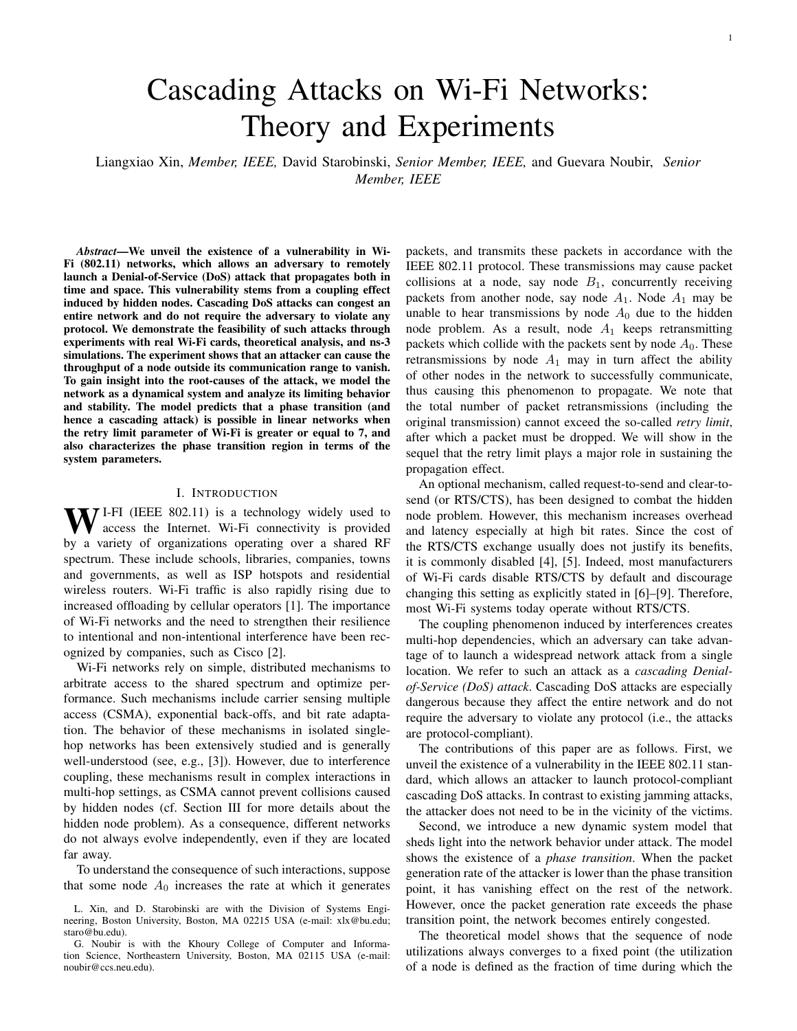occurs only if node  $A_i$  starts a transmission during the interval  $[t^{\theta}, t^{\theta} + T]$ . Since the packet inter-arrival time on the channel is exponentially distributed with mean  $\overline{r}_iT$ , such an event occurs with probability

$$
(1 \quad e^{\overline{r}_i} \cdot i^{\mathsf{T}}) = (1 \quad e^{\overline{u}_i}), \tag{8}
$$

based on Assumption 1. Therefore, the unconditional probability that a packet transmitted by node  $A_{i+1}$  collides is

$$
p_{i+1} = 1 \quad u_i + (1 \quad e^{u_i}) \quad (1 \quad u_i)
$$
  
= 1 \quad e^{u\_i} (1 \quad u\_i). (9)

Next, suppose  $u_i = 1$  (i.e., node  $A_i$  is congested). In that case, all the transmissions by node  $A_{i+1}$  collide and  $p_{i+1} = 1$ . We note that (9) still provides the correct result.

Putting  $(6)$ ,  $(7)$ , and  $(9)$  together, we obtain

$$
u_{i+1} = \min \left\{ \rho \sum_{r=1}^{R} \left( 1 - e^{-u_i} (1 - u_i) \right)^{r-1}, 1 \right\}. \tag{10}
$$

## *C. Limiting behaviour of the utilization*

R

We next analyze the limiting behaviour of the iteration given by (10). The sequence  $(u_i)_{i=0}^{\uparrow}$  corresponds to a discrete non-linear dynamical system [26]. Such systems are generally complex as they may converge to a point, to a cycle (i.e., they exhibit periodic behaviour), or not converge at all (i.e., they exhibit chaotic behaviour).

The main result of this section is to show that the sequence  $(u_i)_{i=0}^{\infty}$  always converges to a point. However, the limit depends on the initial utilization  $u_0$ .

To simplify notation, we define the function

$$
f(u_i)
$$
,  $\rho \sum_{r=1}^{R} (1 - e^{-u_i} (1 - u_i))^{r-1}$ . (11)

We then rewrite  $(10)$  as follows:

$$
u_{i+1} = \min ff(u_i), 1g. \tag{12}
$$

We say that  $\omega$  2 [0, 1] is a *fixed point* of (12) if

$$
\omega = \min f f(\omega), 1g. \tag{13}
$$

Suppose  $(13)$  has K different fixed points (Theorem 2 in the sequel will show that  $K = 1$ ). We denote by the ordered set of all the fixed points of (13). That is,

$$
, f\omega_1, \ldots, \omega_k, \ldots, \omega_K g, \qquad (14)
$$

where  $\omega_1 < \ldots < \omega_k < \ldots < \omega_K$ .

We are next going to show that for any  $u_0 \n\supseteq [0, 1]$ , the limit of the sequence  $(u_i)_{i=0}^7$  is one of the elements in . To prove this result, we will use the following lemma.

*Lemma 1:* Let  $u, u^0 \n\supseteq (\omega_k, \omega_{k+1})$ , where  $k \supseteq \mathcal{F}1, \ldots, K$ 1g. If  $f(u) > u$ , then  $f(u^0) > u^0$ . If  $f(u) < u$ , then  $f(u^0) < u$  $u^{\theta}$ .

*Proof:* The proof goes by contradiction. Let  $u, u^0$  2  $(\omega_k, \omega_{k+1})$ . Suppose  $f(u) > u$  and  $f(u^0) < u^0$ . Since f is continuous in  $(\omega_k, \omega_{k+1})$ , then by the intermediate-value theorem there exists a point  $u^{\emptyset}$  between u and  $u^{\emptyset}$  such that  $f(u^{\omega}) = u^{\omega}$ . Thus,  $u^{\omega}$  is a fixed point of (13). This contradicts the fact that no fixed point exists between  $\omega_k$  and  $\omega_{k+1}$ .

We now present the main result of this section. *Theorem 1:*

- 1) Let  $u_0 \nightharpoonup (\omega_k, \omega_{k+1})$ , where  $k \nightharpoonup (n_1, \ldots, n_k)$  1g. If  $f(u_0) > u_0$ , the sequence  $(u_i)_{i=0}^{\gamma}$  converges to  $\omega_{k+1}$ . If  $f(u_0) < u_0$ , the sequence  $(u_i)_{i=0}^{\gamma}$  converges to  $\omega_k$ .
- 2) If  $u_0 \n\supseteq [0, \omega_1)$ , the sequence  $(u_i)_{i=0}^{\infty}$  converges to  $\omega_1$ .
- 3) If  $\omega_K$  < 1 and  $u_0$  2 ( $\omega_K$ , 1], the sequence  $(u_i)_{i=0}^{\uparrow}$ converges to  $\omega_K$ . *Proof:*
- 1) Let  $\omega_k < u_0 < \omega_{k+1}$ , where  $k \geq \mathcal{F}1, \ldots, K$  1g. Since  $p_i \nightharpoonup (0, 1)$ . Therefore, the function f is continuous and monotonically increasing,  $f(\omega_k) < f(u_0) < f(\omega_{k+1})$ . Hence, according to (12) and (13), we get

$$
\omega_k \quad u_1 \quad \omega_{k+1}.\tag{15}
$$

Now, suppose  $u_1 = f(u_0) > u_0$ . If  $u_1 = \omega_{k+1}$ , then the result is proven. If  $u_1 < \omega_{k+1}$ , then by Lemma 1 and Equation (15), we have  $u_2 = f(u_1) > u_1$ . Applying the same argument inductively, either there exists some value M 2 such that  $u_i = \omega_{k+1}$  for all i M, or the sequence  $(u_i)_{i=0}^{\uparrow}$  is monotonically increasing and upper bounded by  $\omega_{k+1}$ . According to the monotone convergence theorem, the sequence converges. Since there is no other fixed point between  $u_0$  and  $\omega_{k+1}$  and f is continuous, the sequence  $(u_i)_{i=0}^{\uparrow}$  must converge to  $\omega_{k+1}$ . The case  $u_1 = f(u_0) < u_0$  is handled similarly.

- 2) Similar to Lemma 1, one can show that if there exists  $u \supseteq [0, \omega_1)$  such that  $f(u) > u$ , then  $f(u^0) > u^0$  for all  $u^{\theta} \geq [0, \omega_1)$ . Since  $f(0) = \rho > 0$ , the sequence  $(u_i)_{i=0}^{\tau}$ converges to  $\omega_1$ .
- 3) This is handled similarly to case 2.

In summary, the existence of fixed points is determined by the utilization of all the nodes except the attacking node. The fixed points can be computed by solving (13). Once the fixed points are known, Theorem 1 provides the ranges of utilization of the attacking node  $u_0$  for which the sequence converges to each fixed point.

#### *D. Phase transition analysis*

In the previous section, we showed that the limit of the sequence of node utilizations  $(u_i)_{i=0}^{\infty}$  must be one of the fixed points in the set . A phase transition represents a situation where a small change of  $u_0$  leads to an abrupt change of the limit. Specifically, we focus on the case when the limit jumps to 1. Formally:

*Definition 1 (Network congestion):* A network is said to be *congested* if  $(u_i)_{i=0}^{\infty}$  converges to 1. Else, the network is said to be *uncongested*.

*Definition 2 (Phase transition):* A network experiences a phase transition if there exists a fixed point  $\omega 2$ , such that if  $u_0 < \omega$  the network is uncongested, and if  $u_0 > \omega$  the network is congested. We refer to  $\omega$  as the phase transition point.

We note that a phase transition can possibly occur only if  $\omega_K$  = 1, since otherwise the network is never congested, irrespective of  $u_0$ .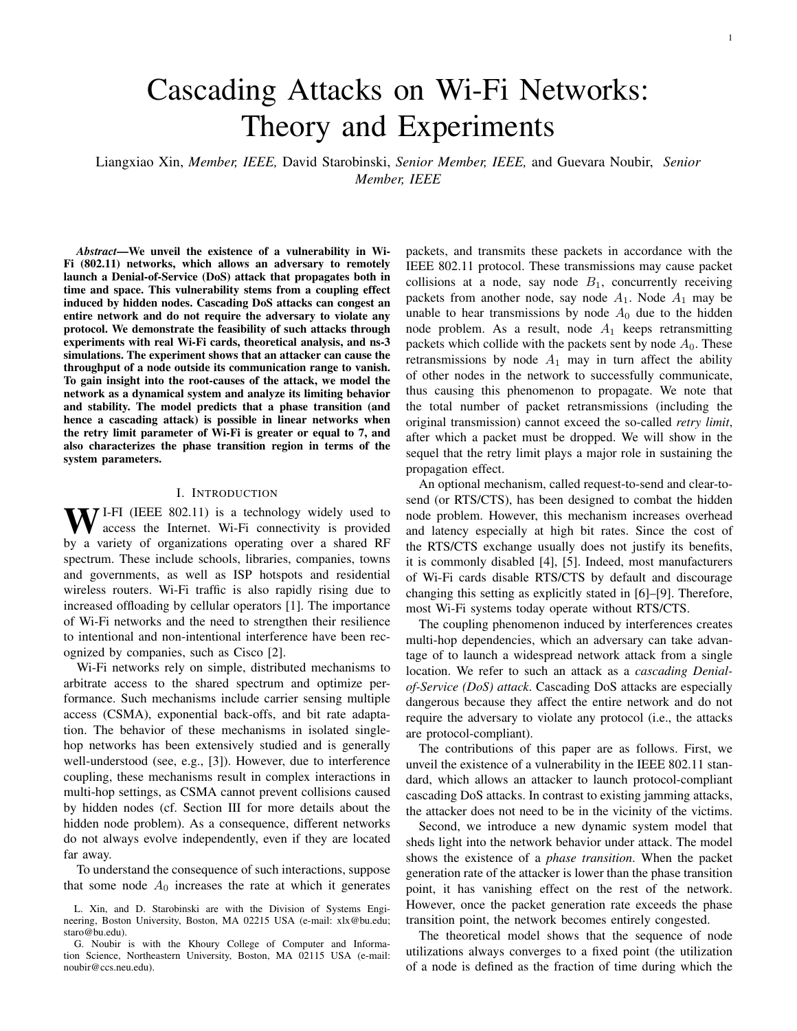A network must fall in one of the following three regimes:

- 1) The network is uncongested for all  $u_0 \nightharpoonup [0, 1]$ .
- 2) The network is congested for all  $u_0 \nightharpoonup [0, 1]$ .
- 3) A phase transition occurs.

Our goal in the following is to determine what regime prevails under different network parameters.

For this purpose, we investigate the existence and properties of solutions of (13). First, we investigate the case  $\omega = 1$ .

*Lemma 2:* If  $\rho > 1/R$ , then

- 1)  $\omega_K = 1$ .
- 2) If  $K = 1$ , then for all  $u_0 \n\supseteq [0, \omega_K]$  the sequence  $(u_i)_{i=0}^{\uparrow}$ converges to  $\omega_K$ .
- 3) If K 2, then for all  $u_0 \nightharpoonup (\omega_K)_{1}, \omega_K$  the sequence  $(u_i)_{i=0}^1$  converges to  $\omega_K$ . *Proof:*
- 1) Let  $\rho$  1/R. We compute the RHS of (13) at  $\omega = 1$  and obtain minff(1),  $1g = minFR\rho$ ,  $1g = 1$ , which proves that a fixed point indeed exists at  $\omega = 1$ .
- 2) If  $\rho > 1/R$ , then  $f(1) = R\rho > 1$ . Since  $f(1) > 1$ , then for all  $u_0 \nightharpoonup (0, \omega_K)$ , we have  $f(u_0) > u_0$ , based on an argument similar to Lemma 1, and the sequence  $(u_i)_{i=0}^1$  converges to 1, following an argument similar to Theorem 1.
- 3) This is handled similarly to Part 2.

Lemma 2 indicates that the sequence  $(u_i)_{i=0}^{\uparrow}$  can converge to 1 (depending on  $u_0$ ), if  $\rho > 1/R$ . Besides this special case, (13) can be rewritten

$$
f(\omega) = \omega. \tag{16}
$$

We look for solutions of (16) that belong to the interval [0, 1]. Each such solution is an element of

Equation (16) is difficult to work with because it contains two unknown variables,  $\rho$  and R. To circumvent this difficulty, we introduce the function

$$
h_R(\omega) \, , \quad \frac{\rho \omega}{f(\omega)} = \frac{\omega}{\sum_{r=1}^R \left(1 - e^{-r} \left(1 - \omega\right)\right)^{r-1}}. \tag{17}
$$

For each value of  $\rho$ , the solutions of (16) must satisfy

$$
h_R(\omega) = \rho. \tag{18}
$$

We denote the maximum of  $h_R(\omega)$  by

$$
h_R^{max}, \quad \max_{0} h_R(\omega).
$$

The following theorem establishes the prevailing network regimes for different parameters.

*Theorem 2:*

- 1) If  $\rho < 1/R$ , then the network is uncongested for all  $u_0$  2  $[0, 1]$ .
- 2) If  $h_R^{max} > 1/R$  and  $1/R < \rho < h_R^{max}$ , then a phase transition occurs and the phase transition point is  $\omega_{K-1}$ .
- 3) If  $\rho > h_R^{max}$ , then the network is congested for all  $u_0$  2 [0, 1].

*Proof:*

1) If  $\rho < 1/R$ , then  $R\rho < 1$  and the utilization of each node is always less than 1. Hence, for any  $u_0 \n\supseteq [0, 1]$ , the



Fig. 3. Illustration of the different network regimes for different values of R. For each value of, the fixed points are the solutions of  $h_R(l) =$ . In addition, the fixed point  $l = 1$  always exists when  $> 1 = R$ . A phase transition region exists if the maximum of  $h_R(l)$ ,  $h_R^{max}$ , is strictly greater than  $h_R(1) = 1=R$ .

network is always uncongested. Note that since  $h_R(0)$  = 0,  $h_R(1) = 1/R$ , and  $h_R$  is continuous, (18) must have at least one solution (i.e., at least one fixed point exists).

- 2) Let  $\rho$  2 (1/R,  $h_R^{max}$ ). We know that  $h_R(0) = 0$  and  $h_R(1) = 1/R$ . Since the function  $h_R$  is continuous, (18) must have at least one solution (i.e, at least one fixed point strictly smaller than 1 exists). Also, because  $\rho > 1/R$ , a fixed point point at  $\omega = 1$  exists (i.e.,  $\omega_K = 1$ ), by Part 1 of Lemma 2. Thus, there are  $K$  2 fixed points. By Part 3 of Lemma 2, the sequence  $(u_i)_{i=0}^{\uparrow}$  converges to  $\omega_K$  for all  $u_0 \nightharpoonup (\omega_{K-1}, \omega_K]$ . Moreover, by Theorem 1, the limit of the sequence  $(u_i)_{i=0}^{\uparrow}$  is no larger than  $\omega_{K-1}$ for all  $u_0 \quad \omega_{K-1}$ . Hence, a phase transition exists at
- $\omega_{K}$  1. 3) If  $\rho > h_R^{max}$ , then (16) has no solution. Moreover, since  $\rho > h_R^{\text{max}}$   $h_R(1) = 1/R$ , we get  $\rho > 1/R$ . By Parts 1 and 2 of Lemma 2, the sequence  $(u_i)_{i=0}^{\uparrow}$  converges to 1 for any  $u_0 \nightharpoonup [0, 1]$ , and the network is always congested.

Theorem 2 establishes whether the network is always uncongested, is susceptible to a phase transition, or is always congested, depending on the network parameters. We illustrate this theorem for different values of R and  $\rho$ , using Figure 3. First, consider  $R = 4$  as shown in Figure 3(a). Since  $h_R^{max} =$  $1/R = 0.25$ , there exists no traffic load  $\rho$  for which a phase transition exists. Either the network is always uncongested (for  $\rho < 1/R$ ), or it is always congested (for  $\rho > 1/R$ ).

Next, consider  $R = 7$  as shown in Figure 3(b). There,  $h_R^{max} = 0.166 > 1/R = 0.143$ . Hence, a phase transition occurs if  $\rho$  2 (0.143, 0.166). For instance, consider the case  $\rho = 0.15$ . Then, the equation  $h_R(\omega) = \rho$  has two solutions. Including the fixed point  $\omega = 1$  (since  $\rho > 1/R$ ), the set has  $K = 3$  fixed points:  $f\omega_1 = 0.265, \omega_2 = 0.777, \omega_3 = 1g$ . Hence, by Theorem 2, the network is uncongested if  $u_0$  < 0.777, and congested if  $u_0 > 0.777$ .

The case  $R = 10$  also has a phase transition region, as shown in Figure 3(c). Furthermore, the size of this region is larger since  $(1/R, h_R^{max}) = (0.1, 0.162)$ .

# *E. Sufficient condition for phase transition*

In the previous section, we showed that a phase transition exists in the region  $1/R < \rho < h_R^{max}$ , if  $h_R^{max} > 1/R$ .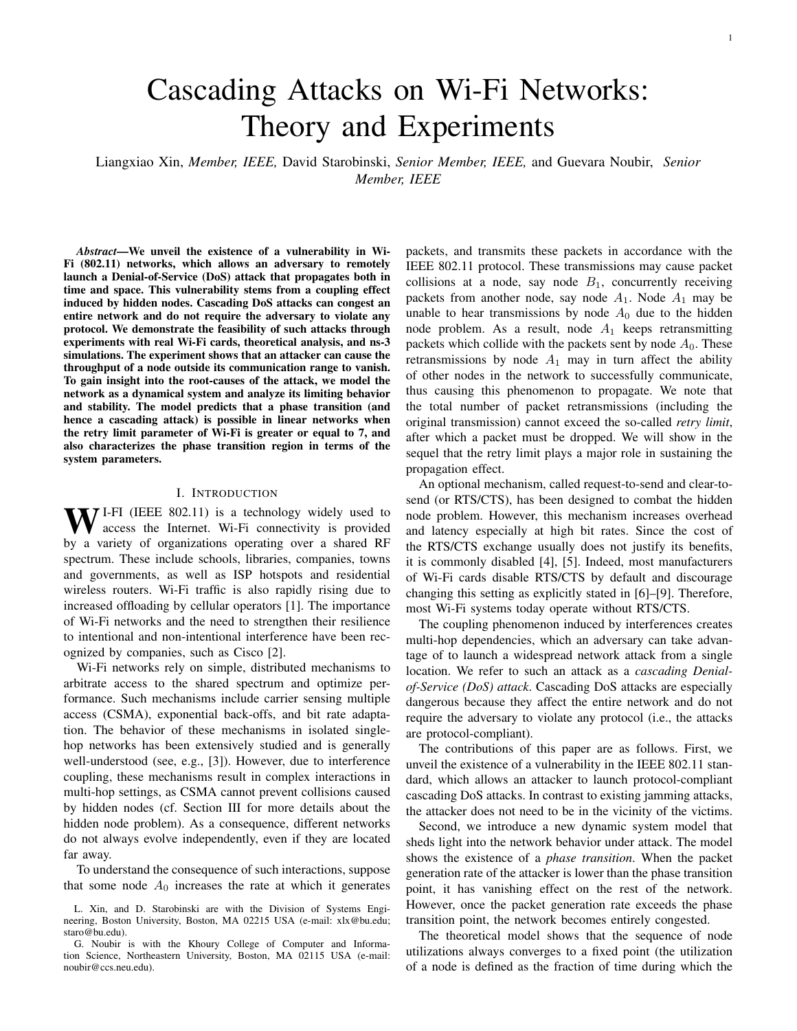In this section, we derive an explicit lower bound on  $h_R^{max}$ , which provides a simple condition for the existence of a phase transition. First, we establish a relationship between the derivatives of  $h_R(\omega)$  for different values of R, but a given value of  $\omega$ . The proof of the following lemma can be found in [27].

*Lemma 3:* For  $\omega$  2 [0, 1], if there exists R 1 such that  $h_{R^*}^{\theta}(\omega)$  0, then  $h_{R}^{\theta}(\omega)$  0 for all  $R > R$ .

Next, consider the function  $h_R(\omega)$  as  $R \mid 1$ :

$$
h_1(\omega) = (1 \t(1 e^{-t}(1 \t\omega)))\omega
$$
  
=  $e^{-t}(1 \t\omega)\omega,$  (19)

and its derivative

$$
h_{\mathcal{I}}^{\theta}(\omega) = e^{-t} (1 - 3\omega + \omega^2). \tag{20}
$$

The next corollary is the logical transposition of Lemma 3.

*Corollary 1:* If  $h^0_7(\omega)$  0, then  $h^0_R(\omega)$  0 for all R 1.

The following lemma establishes that the function  $h_R(\omega)$  is always strictly increasing in the interval  $[0, \overline{\omega})$ , where

$$
\overline{\omega} , \quad \frac{3}{2} \frac{P_{\overline{5}}}{2} . \tag{21}
$$

*Lemma 4:* Let  $0 \quad \omega < \overline{\omega}$ . Then,  $h_R^0(\omega) > 0$ , for all  $R = 1$ .

*Proof:* Let the function  $h_1(\omega)$  and its derivative  $h_1(\omega)$ be defined as in (19) and (20), respectively. Since  $e^{-t}$  is always positive,  $h_1^0(\omega)$  has the same sign as  $(1 \quad 3\omega + \omega^2)$ . The unique root of  $(1 \quad 3\omega + \omega^2) = 0$  for  $\omega \geq [0, 1]$  is w as defined in (21).

Thus,  $(1 \quad 3\omega + \omega^2)$  is positive when  $0 \quad \omega < \overline{\omega}$ , and so is  $h_1^0(\omega)$ . By Corollary 1,  $h_R^0(\omega) > 0$  for  $0 \quad \omega < \overline{\omega}$  and for all  $R$  1.

The consequence of Lemma 4 is that for all  $R = 1$ ,

$$
h_R^{\text{max}} \quad h_R(\overline{\omega}). \tag{22}
$$

This equation provide a lower bound on  $h_R^{max}$  that can easily be computed. We then obtain the following sufficient condition for the existence of phase transition.

*Lemma 5:* Let  $\overline{\omega}$  be defined as in (21) and suppose  $h_R(\overline{\omega})$  $1/R$ . Then, a phase transition is guaranteed to exist for any  $\rho \supseteq (1/R, h_R(\overline{\omega}))$ .

*Proof:* From Theorem 2, we know that a phase transition exists if  $1/R < \rho < h_R^{max}$ . By (22) and the assumption that  $h_R(\overline{\omega}) > 1/R$ , the proof follows.

The next theorem establishes an even more explicit lower bound on  $h_R^{max}$ .

*Theorem 3:* Let  $h_1(\omega)$  and  $\overline{\omega}$  be defined as in (19) and (21), respectively. Then,  $h_R^{max}$   $h_1(\overline{\omega})$  ' 0.161.

*Proof:* By (17),

$$
h_R(\overline{\omega}) = \frac{\omega}{\sum_{r=1}^R (1 - e^{-t} (1 - \omega))^{r-1}}
$$
  
> 
$$
\frac{\omega}{\sum_{r=1}^T (1 - e^{-t} (1 - \omega))^{r-1}} = h_{\mathcal{T}}(\overline{\omega}). (23)
$$

Thus, by (22) and (23),  $h_R^{max} > h_{\tau}(\overline{\omega})$  ' 0.161. Note that this bound is asymptotically tight as R ! 1 since  $h_{\tau}^{max} =$  $h_{\mathcal{I}}(\overline{\omega})$ .

From Theorems 2 and 3, it follows that a phase transition exists if  $1/R < 0.161$ . Hence:

*Corollary 2:* A phase transition is guaranteed to exist for R 7 and  $\rho$  2 [1/R, 0.161].

We note that the lower bound on  $h_R^{max}$  is quite tight. For instance,  $h_7^{max} = 0.166$ . Moreover,  $h_R^{max}$  decreases with R (this follows from (17), since for any  $\omega$  2 [0, 1] the denominator increases as  $R$  gets larger).

## *F. Stability of fixed points*

In this subsection, we use stability theory to shed further light into the limiting behaviour of the sequence  $(u_i)_{i=0}^{\gamma}$ . Specifically, the sequence  $(u_i)_{i=0}^{\infty}$  converges to *stable* fixed points of and diverges from *unstable* fixed points of . We will show that the stability of the fixed points of  $(16)$  are determined by the sign of  $h_R^{\theta}(\omega)$  at those points.

Informally, a fixed point  $\omega$  is stable (or an *attractor*), if there exists a domain containing  $\omega$ , such that if  $u_0$  belongs to that domain, then  $(u_i)_{i=0}^{\uparrow}$  converges to  $\omega$ .

*Definition 3 (Stability of a fixed point):* Let  $u_0 \n\supseteq [0, 1]$ . A fixed point  $\omega$  2 is *stable* if there exists  $\epsilon > 0$  such that if  $ju_0 \quad \omega j < \epsilon$ , the sequence  $(u_i)_{i=0}^{\tau}$  converges to  $\omega$ . It is *unstable* if for all  $u_0 \notin \omega$  the sequence  $(u_i)_{i=0}^{\gamma}$  does not converge to  $\omega$ .

Recall that according to Lemma 2, a special fixed point of (13) exists at  $\omega = 1$ , if  $\rho > 1/R$ . According to Definition 3, this fixed point is stable. Besides this special case, the rest of the fixed points satisfy Equation (16). To establish the stability of those fixed points, we will employ the following proposition.

*Proposition 1 ( [26]):* Suppose that a continuously differentiable function f has a fixed point  $\omega$ . Then,  $\omega$  is stable if  $j f^{\theta}(\omega) / < 1$  and unstable if  $j f^{\theta}(\omega) / > 1$ .

The next theorem provides a criterion to establish the stability of a fixed point  $\omega$  2 with respect to the function  $h_R(\omega)$ .

*Theorem 4:* Consider a fixed point  $\omega$  2, where  $\omega$  < 1. Then  $\omega$  is stable if  $h_R^0(\omega) > 0$  and unstable if  $h_R^0(\omega) < 0$ .

*Proof:* Let  $\omega$  2 . The derivative of  $h_R(\omega)$  with respect to  $\omega$  is

$$
h_R^0(\omega) = \frac{1}{(\omega)} \frac{\omega}{(\omega)^2} \quad \frac{\omega}{(\omega)^2} \quad \frac{\omega}{(\omega)} > 0,\tag{24}
$$

where

$$
(\omega) \sum_{r=1}^{R} (1 - e^{-r}(1 - \omega))^{r-1} = \frac{f(\omega)}{\rho}.
$$
 (25)

If one can show that (24) implies  $jf^{\theta}(\omega)j < 1$ , then according to Proposition 1, the fixed point  $\omega$  is stable. We multiply both sides of (24) by  $((\omega))^2$  and obtain

$$
(\omega) \quad \omega^0(\omega) > 0. \tag{26}
$$

Using  $(25)$  and  $(16)$ , we can rearrange  $(26)$  as follows:

$$
^{\theta}(\omega) < \frac{(\omega)}{\omega} = \frac{f(\omega)}{\rho \omega} = \frac{1}{\rho}.\tag{27}
$$

From  $(25)$  and  $(27)$ , we get

$$
f^{\theta}(\omega) = \rho^{-\theta}(\omega) < 1.
$$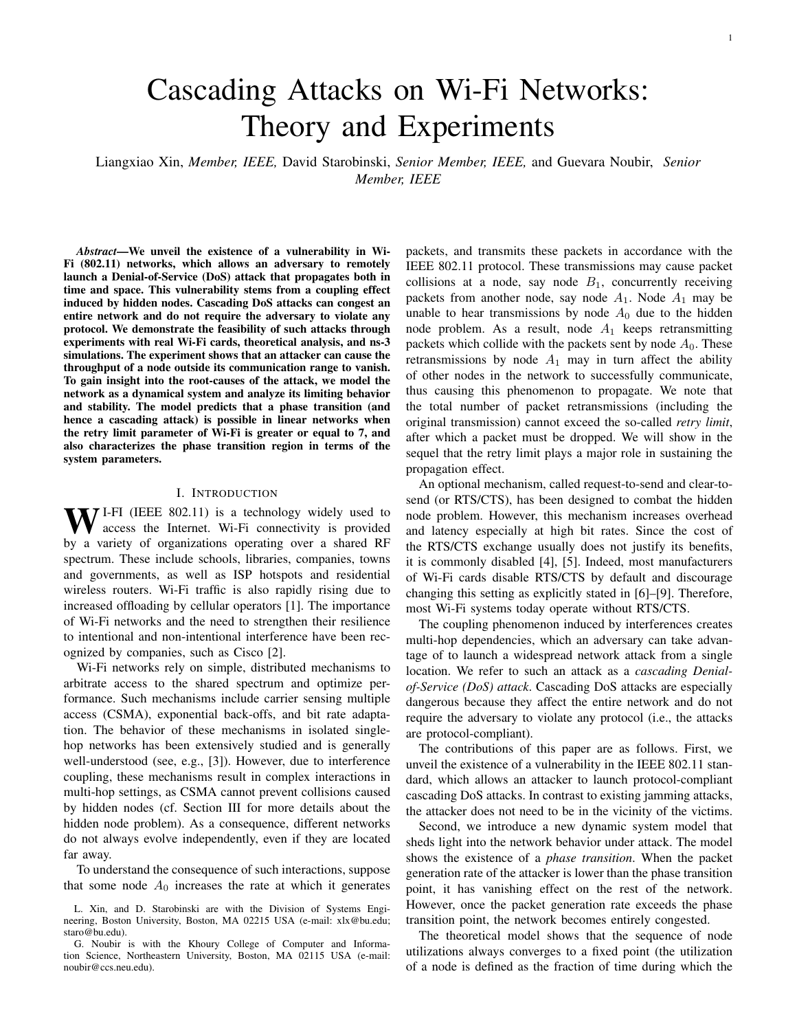

Fig. 4. Stability of fixed points with  $R = 10$ . Given a load = 0.13 (dash line), contains three fixed points:  $l_1 = 0.2$ ,  $l_2 = 0.7$  and  $l_3 = 1$ . The fixed point  $l_1$  is stable because  $h'_R(l_1) > 0$  and  $l_2$  is unstable because  $h'_R(\ell_2)$  < 0. The fixed point  $\ell_3 = 1$  exists and is stable because > 1=R. Therefore, the sequence  $(u_i)_{i=0}^{\infty}$  converges to  $!_1$  if  $u_0 < 1_2$ , and to  $!_3$  if  $u_0 > l_2$ .

Since  $f(\omega)$  is monotonically increasing with  $\omega$ , for  $\omega \geq [0, 1]$ , we conclude

$$
0
$$

Hence, by Proposition 1,  $\omega$  is a stable fixed point.

Similarly,  $h_R^0(\omega) < 0$  implies  $f^0(\omega) > 1$ , which means that  $\omega$  is unstable.

Theorem 4 provides a stability analysis of the fixed points and helps determine the limit of the sequence  $(u_i)_{i=0}^{\tau}$ . Consider, for instance, the example shown in Figure 4 with parameters  $R = 10$  and  $\rho = 0.13$ . Under these parameters,  $=$   $f\omega_1, \omega_2, \omega_3 g = f0.2, 0.7, 1g$ .

The fixed points  $\omega_1$  and  $\omega_2$  are the solutions of  $h_R(\omega) = \rho$ . According to Theorem 4,  $\omega_1$  is stable and  $\omega_2$  is unstable. The fixed point  $\omega_3 = 1$  exists and is stable, since  $\rho > 1/R$ .

According to Theorem 2,  $\omega_2$  is a phase transition point. Hence, the sequence  $(u_i)_{i=0}^{\infty}$  converges to  $\omega_1$  if  $u_0 < \omega_2$ and the network is uncongested. If  $u_0 > \omega_2$ , the sequence converges to  $\omega_3$  and the network is congested.

# *G. Heterogeneous traffic load*

In previous subsections, we assumed that node  $A_0$  varies its traffic load  $\rho_0$ , but all other nodes  $A_i$  (i 1) have the same traffic load  $\rho$ . We now relax this assumption and assume that nodes  $A_i$  (i 1) have different traffic loads  $\rho_i = \lambda_i T$ . We next prove that a phase transition still occurs, as long as all the traffic loads fall in the appropriate range.

*Theorem 5:* Suppose  $h_R^{max} > 1/R$ . If  $\rho_i \geq (1/R, h_R^{max})$  for all  $i$  1, then a phase transition occurs.

*Proof:* Let  $\rho_{max} = \max_{i} \rho_i$  and  $\rho_{min} = \min_{i} \rho_i$ . According to Theorem 2, the network is uncongested when  $\rho_0 = 0$  and the load at each node  $A_i$  is  $\rho_{max} < h_R^{max}$ . Hence, the network must remain uncongested when the load at each node  $A_i$  is smaller than  $\rho_{max}$ .

Similarly, the network is congested when  $\rho_0 = 1$  and the load at each node  $A_i$  is  $\rho_{min} > 1/R$ . Hence, it must remain congested when the load at each node  $A_i$  is larger than  $\rho_{min}$ . Thus, a phase transition occurs when  $1/R < \rho_i < h_R^{max}$  for all  $i = 1$ .



Fig. 5. Experimental testbed.

This result shows that phase transitions are also possible in linear networks with heterogeneous traffic loads.

## V. EXPERIMENTS AND SIMULATIONS

#### *A. Experiments*

We demonstrate the practical feasibility of launching cascading DoS attacks through experiments on a testbed composed of six nodes. The testbed configuration is shown in Figure 5. We establish an IEEE 802.11n ad hoc network consisting of three pairs of nodes. Each node consists of a PC and a TP-LINK TL-WN722N Wireless USB Adapter. We use RF cables and splitters to link the nodes, isolate them from external traffic, and obtain reproducible results.

We place 70 dB attenuators on links between node  $A_i$  and  $B_i$  (i 2 0, 1, 2), and 60 dB attenuators on links between nodes  $A_i$  and  $B_{i+1}$ . The difference in the signal attenuation of different links ensures that a packet loss occurs if a hidden node transmits. In practice, such a situation may occur if nodes  $A_i$  and  $B_{i+1}$  communicate without obstacles, while node  $A_i$ and  $B_i$  are separated by an office wall [28].

The transmission power of each node is set to 0 dBm. We use iPerf [29] to generate UDP data streams and to measure the throughput achieved on each node. The length of a packet is the default IP packet size of 1500 bytes.

Figure 6 demonstrates the cascading DoS attack on the experimental testbed. At first, the packet generation rates of nodes  $A_0$ ,  $A_1$  and  $A_2$  are set to 400 Kb/s. We observe that the throughput of all the nodes remains in the vicinity of 400 Kb/s during the first 300 seconds. After 300 seconds,  $A_0$  starts transmitting packets at 1 Mb/s. As a result, the throughput of nodes  $A_1$  and  $A_2$  suddenly vanishes. Once node  $A_0$  resumes transmitting at 400 Kb/s, the throughput of node  $A_1$  and node  $A_2$  recovers.

Note that if the values of the attenuators are set equal, some packets transmitted at the lowest bit rate (i.e., 1 Mb/s) may be successfully received, even if the packets overlap. The analysis of this scenario is more complicated but simulations show that even in this case, cascading attacks are feasible [27, Ch. 4].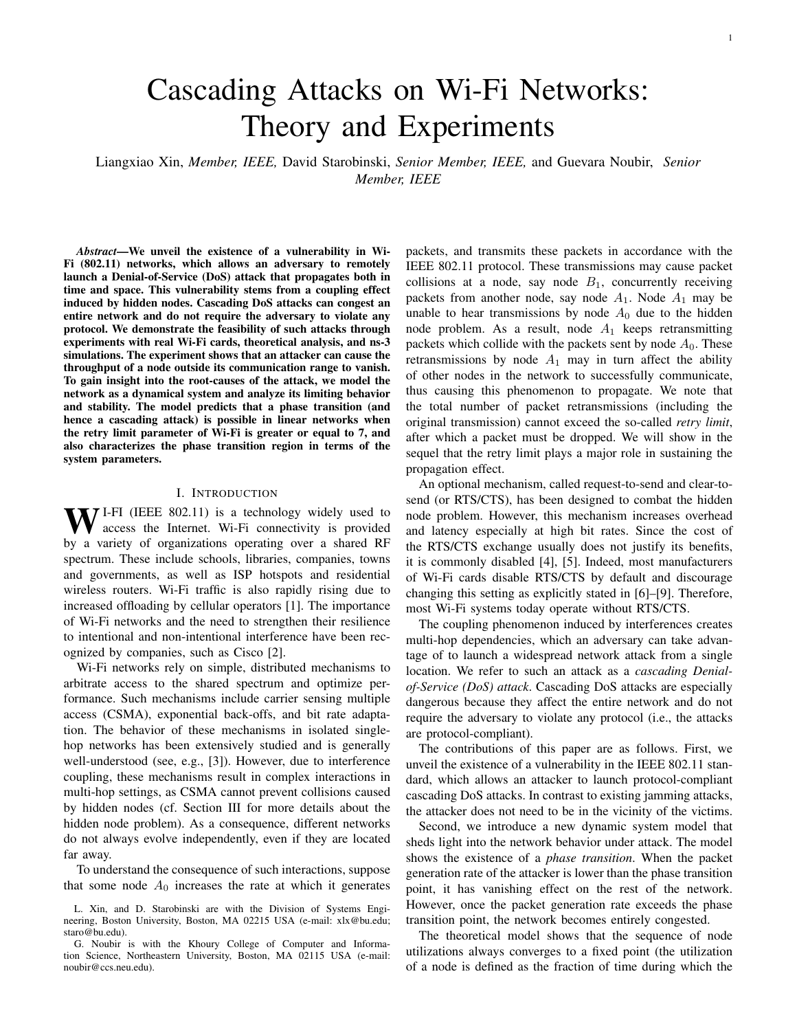

Fig. 6. Throughput performance measurements in testbed. When node  $A_0$ starts increasing its packet generation rate, the throughput of nodes  $A_1$  and  $A_2$  vanishes.

## *B. Simulation results for linear topologies*

We next compare the results of the analysis of Section IV with ns-3 simulations, for different settings of the retry limit R and load  $\rho$ . For the simulations, we consider an ad hoc network composed of 41 pairs of nodes.

*1) Region of phase transition:* To check whether a phase transition exists for a given  $R$ , we run simulations both for  $\rho_0 = 0$  and  $\rho_0 = 1$ . If the node utilizations in the limit (i.e., for node  $A_{40}$ ) is the same in both cases, then we assume that there is no phase transition. If the limits are different, then a phase transition exists.

Figure 7 indicates that the existence of a phase transition is related to the retry limit, as predicted by our analysis. For the case  $R = 4$ , there is no phase transition, while a phase transition occurs in the cases  $R = 7$  and  $R = 10$ . In fact, we observed no phase transition in our simulations for any  $R = 6$ .

The analysis also reasonably approximates the phase transition region. For  $R = 7$ , the simulations show that a phase transition exists if  $\rho$  2 (0.12, 0.16), while the analysis predicts  $\rho$  2 (0.14, 0.17). For  $R = 10$ , the simulation results are  $ρ$  2 (0.08, 0.14) while the analysis predicts  $ρ$  2 (0.10, 0.16). We note that the size of the phase transition region increases with  $R$ , as predicted by the analysis.

*2) Heterogeneous traffic load:* We next show the feasibility of a cascading DoS attack in a network where the traffic load at different node is heterogeneous, in line with the analysis of Section IV-G. Specifically, the traffic load  $\rho_i$  at each node  $A_i$  (i 1) is a continuous random variable that is uniformly distributed between 0.11 and 0.15.

Figure 8 shows the simulation results for retry limit  $R = 7$ . When  $\rho_0$ , the load of node  $A_0$ , is below 0.5, the network is uncongested and the utilizations of nodes  $A_i$  oscillate around  $0.35$  as i gets large. Note that the sequence does not converge to a fixed value due to the different traffic loads at the different nodes. However, when  $\rho_0$  exceeds 0.6, the sequence of node utilizations converges to its upper limit, implying that the



Fig. 7. Simulation of the limiting behaviour of the node utilization in a network of 41 pairs of nodes. For  $R = 4$ , the limit is the same when  $\rho = 0$ and  $_0 = 1$ , hence no phase transition is observed. However, for  $R = 7$  and  $R = 10$ , the limits are different, hence showing the existence of a region of load in which a phase transition occurs.



Fig. 8. Simulation with heterogeneous traffic load in a network with 41 pairs of nodes. The traffic load of nodes  $A_i$  ( $i \geq 1$ ) are uniformly distributed between 0.11 and 0.15. For  $R = 7$ , when the load  $\alpha$  changes from 0.5 to 0.6, the limiting behavior of the sequence of node utilizations differs, thus indicating the occurrence of phase transition.

network is congested. We note that the convergence to steadystate is pretty fast, i.e., it is reached after about 10 nodes.

## *C. Simulation results for other topologies*

We next next investigate cascading attacks in other topologies, specifically a realistic three-dimensional indoor topology and a ring topolgy.

*1) 3D indoor building model:* In this section, we use the ns-3 HybridBuildingsPropagationLossModel library [30] to demonstrate the feasibility of cascading DoS attacks in a 3D indoor scenario. Models in this library realistically characterize the propagation loss across different spectrum bands (i.e., ranging from 200 MHz to 2.6 GHz), different environments (i.e., urban, suburban, open areas), and different node positions with respect to buildings (i.e., indoor,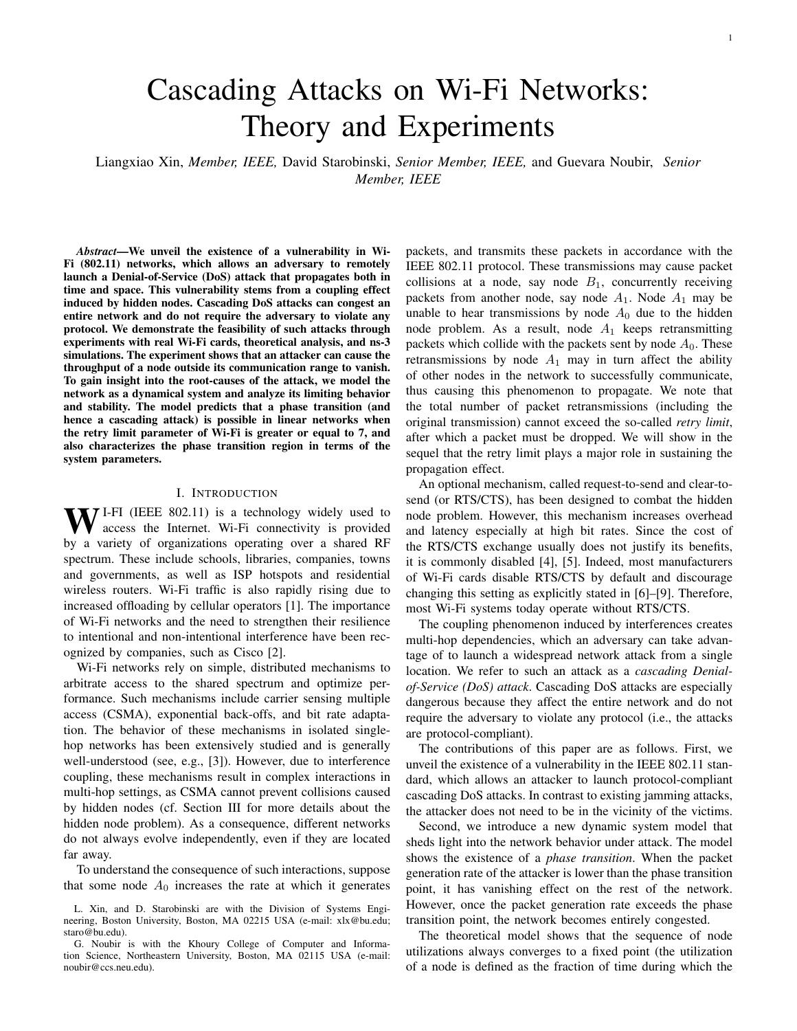

Fig. 9. Office building model. The building has 20 floors (z-axis) and 6 rooms in each floor  $(x \text{ and } y \text{ axes})$ .

outdoor and hybrid). The building models take into account the penetration losses of the walls and floors, based on the type of buildings (i.e., residential, office, and commercial).

In our simulations, we consider a 20-floor office building with six rooms in each floor, as shown in Figure 9. We assume that five pairs of Wi-Fi nodes  $(A_i, B_i)$  are active in the building, where node  $A_i$  transmits packets to nodes  $B_i$  $(i = 0, 1, 2, 3, 4)$ . The bit rate is set to 1 Mb/s, the retry limit to  $R = 7$ , and the frequency to 2.4 GHz. The generation rate of UDP packets at nodes  $A_i$ , i 1, is  $\lambda_i = 8.125$  pkts/s. Packets are 2000 bytes long.

We turn on and off transmissions at node  $A_0$  to observe how it impacts the throughput of other nodes. Simulation results are shown in Figure 10. When node  $A_0$  does not transmit, the throughput of node  $A_4$  is 0.13 Mb/s and it incurs no packet loss. However, when node  $A_0$  starts transmitting, the throughput of node  $A_4$  collapses. The throughput of node  $A_4$ recovers only after node  $A_0$  stops transmitting.

*2) Ring topology:* We next investigate cascading DoS attacks in a ring topology with 41 pairs of nodes, as shown in Figure 11. In our previous results for linear topologies, the effect of an attack disappears once the attacker reduces its packet generation rate. However, the effect of an attack in a ring topology can last for a long period of time after the attack stops.

This result is illustrated in Figure 12. During the first 100 seconds, all the nodes  $A_i$  ( $i = 0, 1, \ldots$ ) generate packets at



Fig. 10. Simulation results using ns-3 building model. When node  $A_0$ transmits, the throughput of remote node  $A_4$  collapses.



Fig. 11. Ring topology under cascading DoS attack. The dash circle represents the transmission range of the transmitter.



Fig. 12. Simulation results under a ring topology. When the packet generation rate of node  $A_0$  increases, the throughput of nodes  $A_{20}$  and  $A_{40}$  vanishes. This effect continues even when the packet generation rate of node  $A_0$ decreases.

0.5 Mb/s. At time  $t = 300$  s, node  $A_0$  increases its packet generation rate to 11 Mb/s. As a result, the throughput of all nodes vanishes. Yet, unlike results in linear topologies, the throughput of the nodes does not recover after node  $A_0$  reduces its packet generation rate back to 0.5 Mb/s. The cyclic nature of the topology reinforces the attack even after the trigger stops.

## VI. CONCLUSION

We describe a new type of DoS attacks against Wi-Fi networks, called cascading DoS attacks. The attack exploits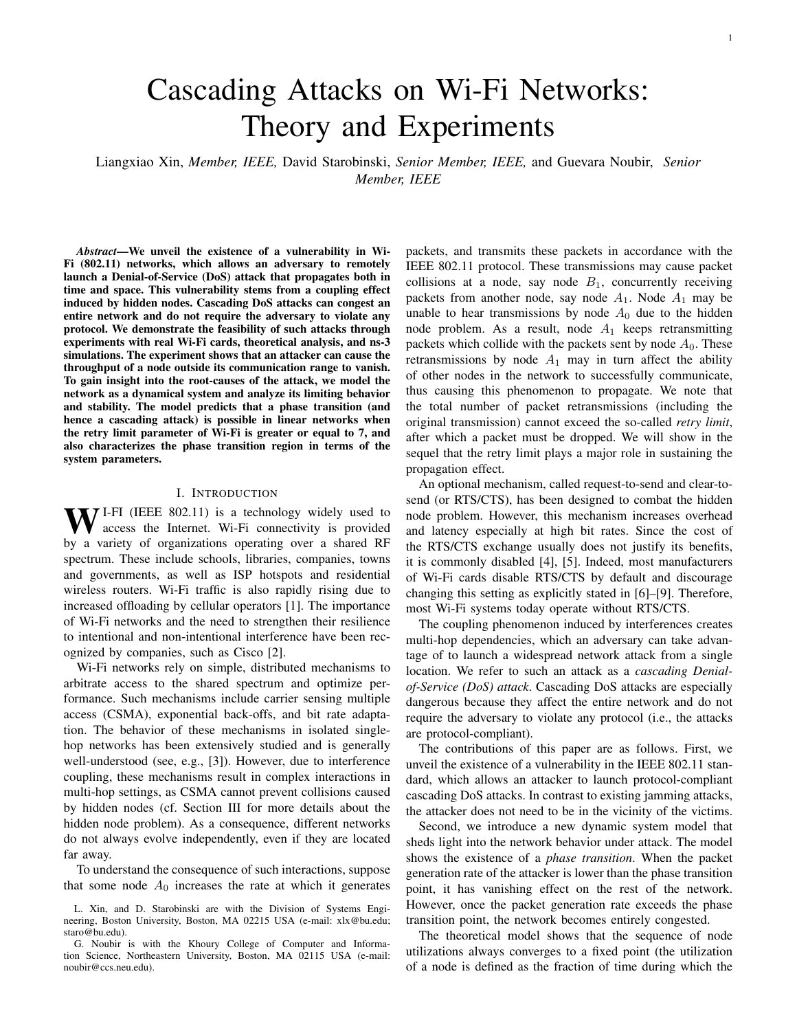a coupling vulnerability due to hidden nodes. The attack propagates beyond the starting location, lasts for long periods of time, and forces the network to operate at its lowest bit rate. The attack can be started remotely and without violating the IEEE 802.11 standard, making it difficult to trace back. We demonstrate the feasibility of such attacks through experiments on a testbed of nodes equipped with off-the-shelf Wi-Fi cards. The experiments show that change in the traffic load of the attacker can lead to a phase transition of a remote node, from uncongested to congested states.

To provide insight into this phenomenon, we propose a new dynamical system model to characterize the sequence of node utilizations, and analyze the limiting behavior of this sequence. We show that the sequence always converges to stable fixed points while an unstable fixed point represents a phase transition point. Based on the system parameters, we identify when the system remains always uncongested, congested, or experiences a phase transition caused by a DoS cascading attack.

The analysis predicts that a phase transition occurs for  $R$ 7 in a linear network topology and provides a simple and explicit estimate of traffic load at each node under which a phase transition occurs (i.e.,  $\rho_i$  2 (1/R, 0.161) for all i 1). The network is always congested when the traffic load is above the phase transition regime and always uncongested when the traffic load is below the phase transition regime. We also generalize our results to heterogeneous traffic load scenarios.

The theoretical results are corroborated with simulations and experiments. In terms of accuracy, our model is accurate in predicting that the throughput vanishes during cascading attacks (as shown by the real network experiments) as well as predicting the values of the retry parameter  $R$  for which cascading attacks are feasible. Notably, cascading attacks are feasible for the default value  $R = 7$  used in IEEE 802.11. The analysis is also accurate in predicting the size of the phase transition region which increases with  $R$ . However, the analysis is less accurate in pinpointing the exact boundaries of the phase transition region (which is about 20% off). We defer the refinement of this particular aspect of the analysis to future work, as it would likely require a more complicated model.

Exploiting the coupling vulnerability in different network configurations represents an interesting area for future work. Experience in the security field indeed teaches that once a vulnerability is identified, more potent attacks are subsequently discovered (consider, for instance, the history of attacks on WEP [31] and MD5 [32]). In particular, it is possible that interactions between different wireless protocols that use the same spectrum (e.g., Wi-Fi, Bluetooth, and Zigbee [33]) could create a similar security issue.

Several approaches are possible to mitigate cascading DoS attacks. First, one could enable the RTS/CTS exchange, although this solution has several drawbacks, including major performance degradation under normal network operations, as mentioned in the introduction. Devising a scheme that triggers RTS/CTS under certain circumstances (e.g., multiple consecutive packet losses) could be an interesting area for future research. The second approach is to lower the retry limit. However, this could also negatively impact performance. Other approaches worth investigating include using shortening packet duration [27, Ch. 5], dynamic channel selection [34], and full-duplex radios [35].

#### ACKNOWLEDGMENTS

This research was supported in part by the U.S. National Science Foundations under grants CNS-1409453, CNS-1908087, and DGE-1661532.

## **REFERENCES**

- [1] K. Lee, J. Lee, Y. Yi, I. Rhee, and S. Chong, "Mobile data offloading: how much can WiFi deliver?" in *Proceedings of the 6th International Conference on emerging Networking EXperiments and Technologies (CoNEXT)*. ACM, 2010, p. 26.
- [2] Cisco, "Cisco cleanair technology," http://www.cisco.com/c/en/us/ solutions/enterprise-networks/cleanair-technology/index.html.
- [3] G. Bianchi, "Performance analysis of the IEEE 802.11 distributed coordination function," *IEEE Journal on Selected Areas in Communication*, vol. 18, no. 3, pp. 535–547, 2000.
- [4] A. Forouzan Behrouz, *Data Communication and Networking*. 3rd/4th Edition, Tata McGraw, 2004.
- [5] M. Gast, *802.11 wireless networks: the definitive guide*. O'Reilly Media, Inc., 2005.
- [6] http://documentation.netgear.com/WPN824EXT/enu/202-10310- 02/WPN824EXT\_UG-4-6.html.
- [7] http://www.tp-link.us/support/download-center.
- [8] http://ui.linksys.com/WAG300N/1.01.01/help/h\_AdvWSettings.htm.
- [9] http://support.dlink.com/emulators/dir855/Advanced.html.
- [10] L. Xin, D. Starobinski, and G. Noubir, "Cascading denial of service attacks on Wi-Fi networks," in *Communications and Network Security (CNS), 2016 IEEE Conference*.
- [11] R. Poisel, *Modern communications jamming principles and techniques*. Artech House Publishers, 2011.
- [12] K. Pelechrinis, M. Iliofotou, and S. V. Krishnamurthy, "Denial of service attacks in wireless networks: The case of jammers," *Communications Surveys & Tutorials, IEEE*, vol. 13, no. 2, pp. 245–257, 2011.
- [13] G. Lin and G. Noubir, "On link layer denial of service in data wireless LANs," *Wireless Communications and Mobile Computing*, vol. 5, no. 3, pp. 273–284, 2005.
- [14] C. Chen, H. Luo, E. Seo, N. H. Vaidya, and X. Wang, "Rate-adaptive framing for interfered wireless networks," in *INFOCOM 2007. 26th IEEE International Conference on Computer Communications. IEEE*.
- [15] S. Rayanchu, A. Mishra, D. Agrawal, S. Saha, and S. Banerjee, "Diagnosing wireless packet losses in 802.11: Separating collision from weak signal," in *INFOCOM 2008. The 27th Conference on Computer*
- *Communications. IEEE*. [16] "Minstrel madwifi documentation," http://linuxwireless.org/en/ developers/Documentation/mac80211/RateControl/minstrel.
- [17] R. Kinney, P. Crucitti, R. Albert, and V. Latora, "Modeling cascading failures in the north american power grid," *The European Physical Journal B-Condensed Matter and Complex Systems*, vol. 46, no. 1, pp. 101–107, 2005.
- [18] S. Soltan, D. Mazauric, and G. Zussman, "Cascading failures in power grids: analysis and algorithms," in *Proceedings of the 5th international conference on Future energy systems*. ACM, 2014, pp. 195–206.
- [19] M. Haenggi, J. G. Andrews, F. Baccelli, O. Dousse, and M. Franceschetti, "Stochastic geometry and random graphs for the analysis and design of wireless networks," *Selected Areas in Communications, IEEE Journal on*, vol. 27, no. 7, pp. 1029–1046, 2009.
- [20] Z. Kong and E. M. Yeh, "Wireless network resilience to degreedependent and cascading node failures," in *Modeling and Optimization in Mobile, Ad Hoc, and Wireless Networks, 2009. WiOPT 2009. 7th International Symposium on*. IEEE, 2009.
- [21] A. Aziz, D. Starobinski, and P. Thiran, "Understanding and tackling the root causes of instability in wireless mesh networks," *IEEE/ACM Transactions on Networking*, vol. 19, no. 4, pp. 1178–1193, 2011.
- [22] S. Ray, D. Starobinski, and J. B. Carruthers, "Performance of wireless networks with hidden nodes: a queuing-theoretic analysis," *Computer Communications*, vol. 28, no. 10, pp. 1179–1192, 2005.